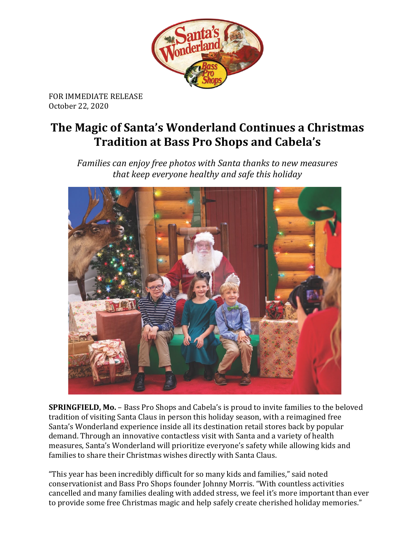

FOR IMMEDIATE RELEASE October 22, 2020

# **The Magic of Santa's Wonderland Continues a Christmas Tradition at Bass Pro Shops and Cabela's**

*Families can enjoy free photos with Santa thanks to new measures that keep everyone healthy and safe this holiday*



**SPRINGFIELD, Mo.** – Bass Pro Shops and Cabela's is proud to invite families to the beloved tradition of visiting Santa Claus in person this holiday season, with a reimagined free Santa's Wonderland experience inside all its destination retail stores back by popular demand. Through an innovative contactless visit with Santa and a variety of health measures, Santa's Wonderland will prioritize everyone's safety while allowing kids and families to share their Christmas wishes directly with Santa Claus.

"This year has been incredibly difficult for so many kids and families," said noted conservationist and Bass Pro Shops founder Johnny Morris. "With countless activities cancelled and many families dealing with added stress, we feel it's more important than ever to provide some free Christmas magic and help safely create cherished holiday memories."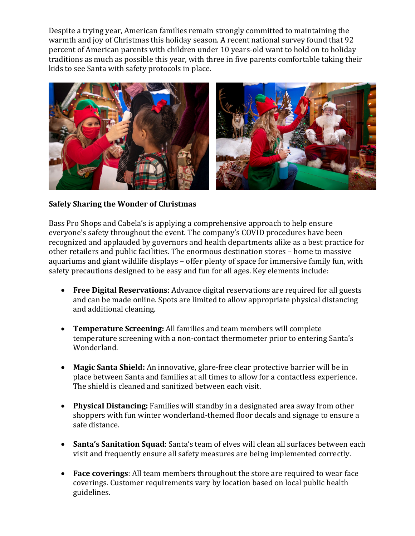Despite a trying year, American families remain strongly committed to maintaining the warmth and joy of Christmas this holiday season. A recent national survey found that 92 percent of American parents with children under 10 years-old want to hold on to holiday traditions as much as possible this year, with three in five parents comfortable taking their kids to see Santa with safety protocols in place.



## **Safely Sharing the Wonder of Christmas**

Bass Pro Shops and Cabela's is applying a comprehensive approach to help ensure everyone's safety throughout the event. The company's COVID procedures have been recognized and applauded by governors and health departments alike as a best practice for other retailers and public facilities. The enormous destination stores – home to massive aquariums and giant wildlife displays – offer plenty of space for immersive family fun, with safety precautions designed to be easy and fun for all ages. Key elements include:

- **Free Digital Reservations**: Advance digital reservations are required for all guests and can be made online. Spots are limited to allow appropriate physical distancing and additional cleaning.
- **Temperature Screening:** All families and team members will complete temperature screening with a non-contact thermometer prior to entering Santa's Wonderland.
- **Magic Santa Shield:** An innovative, glare-free clear protective barrier will be in place between Santa and families at all times to allow for a contactless experience. The shield is cleaned and sanitized between each visit.
- **Physical Distancing:** Families will standby in a designated area away from other shoppers with fun winter wonderland-themed floor decals and signage to ensure a safe distance.
- **Santa's Sanitation Squad**: Santa's team of elves will clean all surfaces between each visit and frequently ensure all safety measures are being implemented correctly.
- **Face coverings**: All team members throughout the store are required to wear face coverings. Customer requirements vary by location based on local public health guidelines.